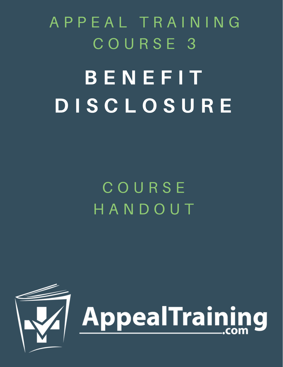B E N E F I T D I S C L O S U R E A P P E A L T R A I N I N G C O U R S E 3

> C O U R S E H A N D O U T

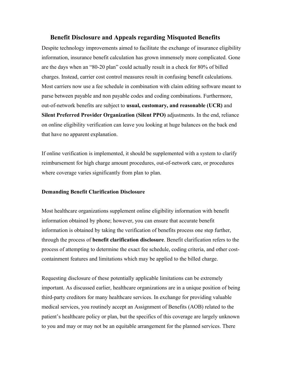# **Benefit Disclosure and Appeals regarding Misquoted Benefits**

Despite technology improvements aimed to facilitate the exchange of insurance eligibility information, insurance benefit calculation has grown immensely more complicated. Gone are the days when an "80-20 plan" could actually result in a check for 80% of billed charges. Instead, carrier cost control measures result in confusing benefit calculations. Most carriers now use a fee schedule in combination with claim editing software meant to parse between payable and non payable codes and coding combinations. Furthermore, out-of-network benefits are subject to **usual, customary, and reasonable (UCR)** and **Silent Preferred Provider Organization (Silent PPO)** adjustments. In the end, reliance on online eligibility verification can leave you looking at huge balances on the back end that have no apparent explanation.

If online verification is implemented, it should be supplemented with a system to clarify reimbursement for high charge amount procedures, out-of-network care, or procedures where coverage varies significantly from plan to plan.

# **Demanding Benefit Clarification Disclosure**

Most healthcare organizations supplement online eligibility information with benefit information obtained by phone; however, you can ensure that accurate benefit information is obtained by taking the verification of benefits process one step further, through the process of **benefit clarification disclosure**. Benefit clarification refers to the process of attempting to determine the exact fee schedule, coding criteria, and other costcontainment features and limitations which may be applied to the billed charge.

Requesting disclosure of these potentially applicable limitations can be extremely important. As discussed earlier, healthcare organizations are in a unique position of being third-party creditors for many healthcare services. In exchange for providing valuable medical services, you routinely accept an Assignment of Benefits (AOB) related to the patient's healthcare policy or plan, but the specifics of this coverage are largely unknown to you and may or may not be an equitable arrangement for the planned services. There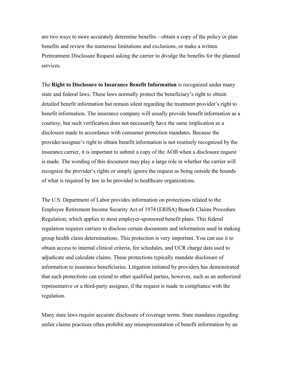are two ways to more accurately determine benefits—obtain a copy of the policy or plan benefits and review the numerous limitations and exclusions, or make a written Pretreatment Disclosure Request asking the carrier to divulge the benefits for the planned services.

The **Right to Disclosure to Insurance Benefit Information** is recognized under many state and federal laws. These laws normally protect the beneficiary's right to obtain detailed benefit information but remain silent regarding the treatment provider's right to benefit information. The insurance company will usually provide benefit information as a courtesy, but such verification does not necessarily have the same implication as a disclosure made in accordance with consumer protection mandates. Because the provider/assignee's right to obtain benefit information is not routinely recognized by the insurance carrier, it is important to submit a copy of the AOB when a disclosure request is made. The wording of this document may play a large role in whether the carrier will recognize the provider's rights or simply ignore the request as being outside the bounds of what is required by law to be provided to healthcare organizations.

The U.S. Department of Labor provides information on protections related to the Employee Retirement Income Security Act of 1974 (ERISA) Benefit Claims Procedure Regulation, which applies to most employer-sponsored benefit plans. This federal regulation requires carriers to disclose certain documents and information used in making group health claim determinations. This protection is very important. You can use it to obtain access to internal clinical criteria, fee schedules, and UCR charge data used to adjudicate and calculate claims. These protections typically mandate disclosure of information to insurance beneficiaries. Litigation initiated by providers has demonstrated that such protections can extend to other qualified parties, however, such as an authorized representative or a third-party assignee, if the request is made in compliance with the regulation.

Many state laws require accurate disclosure of coverage terms. State mandates regarding unfair claims practices often prohibit any misrepresentation of benefit information by an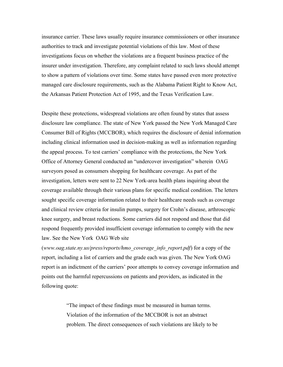insurance carrier. These laws usually require insurance commissioners or other insurance authorities to track and investigate potential violations of this law. Most of these investigations focus on whether the violations are a frequent business practice of the insurer under investigation. Therefore, any complaint related to such laws should attempt to show a pattern of violations over time. Some states have passed even more protective managed care disclosure requirements, such as the Alabama Patient Right to Know Act, the Arkansas Patient Protection Act of 1995, and the Texas Verification Law.

Despite these protections, widespread violations are often found by states that assess disclosure law compliance. The state of New York passed the New York Managed Care Consumer Bill of Rights (MCCBOR), which requires the disclosure of denial information including clinical information used in decision-making as well as information regarding the appeal process. To test carriers' compliance with the protections, the New York Office of Attorney General conducted an "undercover investigation" wherein OAG surveyors posed as consumers shopping for healthcare coverage. As part of the investigation, letters were sent to 22 New York-area health plans inquiring about the coverage available through their various plans for specific medical condition. The letters sought specific coverage information related to their healthcare needs such as coverage and clinical review criteria for insulin pumps, surgery for Crohn's disease, arthroscopic knee surgery, and breast reductions. Some carriers did not respond and those that did respond frequently provided insufficient coverage information to comply with the new law. See the New York OAG Web site

(*www.oag.state.ny.us/press/reports/hmo\_coverage\_info\_report.pdf*) for a copy of the report, including a list of carriers and the grade each was given. The New York OAG report is an indictment of the carriers' poor attempts to convey coverage information and points out the harmful repercussions on patients and providers, as indicated in the following quote:

> "The impact of these findings must be measured in human terms. Violation of the information of the MCCBOR is not an abstract problem. The direct consequences of such violations are likely to be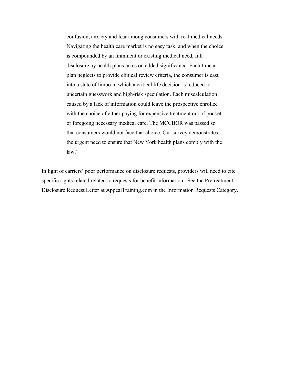confusion, anxiety and fear among consumers with real medical needs. Navigating the health care market is no easy task, and when the choice is compounded by an imminent or existing medical need, full disclosure by health plans takes on added significance. Each time a plan neglects to provide clinical review criteria, the consumer is cast into a state of limbo in which a critical life decision is reduced to uncertain guesswork and high-risk speculation. Each miscalculation caused by a lack of information could leave the prospective enrollee with the choice of either paying for expensive treatment out of pocket or foregoing necessary medical care. The MCCBOR was passed so that consumers would not face that choice. Our survey demonstrates the urgent need to ensure that New York health plans comply with the law."

In light of carriers' poor performance on disclosure requests, providers will need to cite specific rights related related to requests for benefit information. See the Pretreatment Disclosure Request Letter at AppealTraining.com in the Information Requests Category.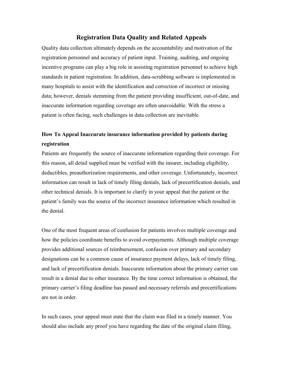# **Registration Data Quality and Related Appeals**

Quality data collection ultimately depends on the accountability and motivation of the registration personnel and accuracy of patient input. Training, auditing, and ongoing incentive programs can play a big role in assisting registration personnel to achieve high standards in patient registration. In addition, data-scrubbing software is implemented in many hospitals to assist with the identification and correction of incorrect or missing data; however, denials stemming from the patient providing insufficient, out-of-date, and inaccurate information regarding coverage are often unavoidable. With the stress a patient is often facing, such challenges in data collection are inevitable.

# **How To Appeal Inaccurate insurance information provided by patients during registration**

Patients are frequently the source of inaccurate information regarding their coverage. For this reason, all detail supplied must be verified with the insurer, including eligibility, deductibles, preauthorization requirements, and other coverage. Unfortunately, incorrect information can result in lack of timely filing denials, lack of precertification denials, and other technical denials. It is important to clarify in your appeal that the patient or the patient's family was the source of the incorrect insurance information which resulted in the denial.

One of the most frequent areas of confusion for patients involves multiple coverage and how the policies coordinate benefits to avoid overpayments. Although multiple coverage provides additional sources of reimbursement, confusion over primary and secondary designations can be a common cause of insurance payment delays, lack of timely filing, and lack of precertification denials. Inaccurate information about the primary carrier can result in a denial due to other insurance. By the time correct information is obtained, the primary carrier's filing deadline has passed and necessary referrals and precertifications are not in order.

In such cases, your appeal must state that the claim was filed in a timely manner. You should also include any proof you have regarding the date of the original claim filing,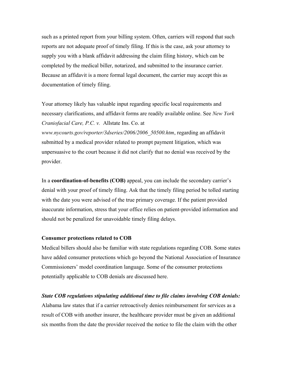such as a printed report from your billing system. Often, carriers will respond that such reports are not adequate proof of timely filing. If this is the case, ask your attorney to supply you with a blank affidavit addressing the claim filing history, which can be completed by the medical biller, notarized, and submitted to the insurance carrier. Because an affidavit is a more formal legal document, the carrier may accept this as documentation of timely filing.

Your attorney likely has valuable input regarding specific local requirements and necessary clarifications, and affidavit forms are readily available online. See *New York Craniofacial Care, P.C. v.* Allstate Ins. Co. at *www.nycourts.gov/reporter/3dseries/2006/2006\_50500.htm*, regarding an affidavit submitted by a medical provider related to prompt payment litigation, which was unpersuasive to the court because it did not clarify that no denial was received by the provider.

In a **coordination-of-benefits (COB)** appeal, you can include the secondary carrier's denial with your proof of timely filing. Ask that the timely filing period be tolled starting with the date you were advised of the true primary coverage. If the patient provided inaccurate information, stress that your office relies on patient-provided information and should not be penalized for unavoidable timely filing delays.

# **Consumer protections related to COB**

Medical billers should also be familiar with state regulations regarding COB. Some states have added consumer protections which go beyond the National Association of Insurance Commissioners' model coordination language. Some of the consumer protections potentially applicable to COB denials are discussed here.

# *State COB regulations stipulating additional time to file claims involving COB denials:*

Alabama law states that if a carrier retroactively denies reimbursement for services as a result of COB with another insurer, the healthcare provider must be given an additional six months from the date the provider received the notice to file the claim with the other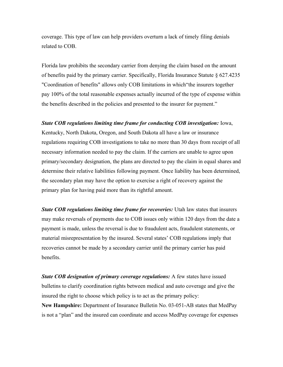coverage. This type of law can help providers overturn a lack of timely filing denials related to COB.

Florida law prohibits the secondary carrier from denying the claim based on the amount of benefits paid by the primary carrier. Specifically, Florida Insurance Statute § 627.4235 "Coordination of benefits" allows only COB limitations in which"the insurers together pay 100% of the total reasonable expenses actually incurred of the type of expense within the benefits described in the policies and presented to the insurer for payment."

#### *State COB regulations limiting time frame for conducting COB investigation: Iowa,*

Kentucky, North Dakota, Oregon, and South Dakota all have a law or insurance regulations requiring COB investigations to take no more than 30 days from receipt of all necessary information needed to pay the claim. If the carriers are unable to agree upon primary/secondary designation, the plans are directed to pay the claim in equal shares and determine their relative liabilities following payment. Once liability has been determined, the secondary plan may have the option to exercise a right of recovery against the primary plan for having paid more than its rightful amount.

*State COB regulations limiting time frame for recoveries: Utah law states that insurers* may make reversals of payments due to COB issues only within 120 days from the date a payment is made, unless the reversal is due to fraudulent acts, fraudulent statements, or material misrepresentation by the insured. Several states' COB regulations imply that recoveries cannot be made by a secondary carrier until the primary carrier has paid benefits.

*State COB designation of primary coverage regulations:* A few states have issued bulletins to clarify coordination rights between medical and auto coverage and give the insured the right to choose which policy is to act as the primary policy:

**New Hampshire:** Department of Insurance Bulletin No. 03-051-AB states that MedPay is not a "plan" and the insured can coordinate and access MedPay coverage for expenses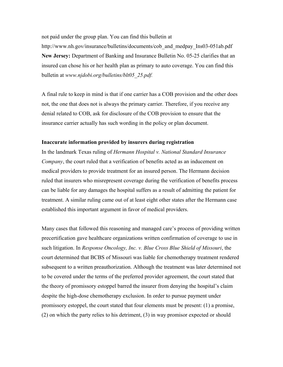not paid under the group plan. You can find this bulletin at

http://www.nh.gov/insurance/bulletins/documents/cob\_and\_medpay\_Ins03-051ab.pdf **New Jersey:** Department of Banking and Insurance Bulletin No. 05-25 clarifies that an insured can chose his or her health plan as primary to auto coverage. You can find this bulletin at *www.njdobi.org/bulletins/blt05\_25.pdf.*

A final rule to keep in mind is that if one carrier has a COB provision and the other does not, the one that does not is always the primary carrier. Therefore, if you receive any denial related to COB, ask for disclosure of the COB provision to ensure that the insurance carrier actually has such wording in the policy or plan document.

# **Inaccurate information provided by insurers during registration**

In the landmark Texas ruling of *Hermann Hospital v. National Standard Insurance Company*, the court ruled that a verification of benefits acted as an inducement on medical providers to provide treatment for an insured person. The Hermann decision ruled that insurers who misrepresent coverage during the verification of benefits process can be liable for any damages the hospital suffers as a result of admitting the patient for treatment. A similar ruling came out of at least eight other states after the Hermann case established this important argument in favor of medical providers.

Many cases that followed this reasoning and managed care's process of providing written precertification gave healthcare organizations written confirmation of coverage to use in such litigation. In *Response Oncology, Inc. v. Blue Cross Blue Shield of Missouri*, the court determined that BCBS of Missouri was liable for chemotherapy treatment rendered subsequent to a written preauthorization. Although the treatment was later determined not to be covered under the terms of the preferred provider agreement, the court stated that the theory of promissory estoppel barred the insurer from denying the hospital's claim despite the high-dose chemotherapy exclusion. In order to pursue payment under promissory estoppel, the court stated that four elements must be present: (1) a promise, (2) on which the party relies to his detriment, (3) in way promisor expected or should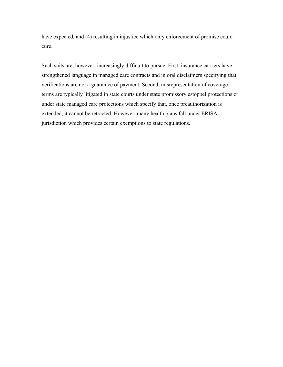have expected, and (4) resulting in injustice which only enforcement of promise could cure.

Such suits are, however, increasingly difficult to pursue. First, insurance carriers have strengthened language in managed care contracts and in oral disclaimers specifying that verifications are not a guarantee of payment. Second, misrepresentation of coverage terms are typically litigated in state courts under state promissory estoppel protections or under state managed care protections which specify that, once preauthorization is extended, it cannot be retracted. However, many health plans fall under ERISA jurisdiction which provides certain exemptions to state regulations.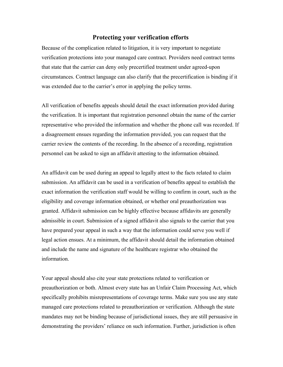# **Protecting your verification efforts**

Because of the complication related to litigation, it is very important to negotiate verification protections into your managed care contract. Providers need contract terms that state that the carrier can deny only precertified treatment under agreed-upon circumstances. Contract language can also clarify that the precertification is binding if it was extended due to the carrier's error in applying the policy terms.

All verification of benefits appeals should detail the exact information provided during the verification. It is important that registration personnel obtain the name of the carrier representative who provided the information and whether the phone call was recorded. If a disagreement ensues regarding the information provided, you can request that the carrier review the contents of the recording. In the absence of a recording, registration personnel can be asked to sign an affidavit attesting to the information obtained.

An affidavit can be used during an appeal to legally attest to the facts related to claim submission. An affidavit can be used in a verification of benefits appeal to establish the exact information the verification staff would be willing to confirm in court, such as the eligibility and coverage information obtained, or whether oral preauthorization was granted. Affidavit submission can be highly effective because affidavits are generally admissible in court. Submission of a signed affidavit also signals to the carrier that you have prepared your appeal in such a way that the information could serve you well if legal action ensues. At a minimum, the affidavit should detail the information obtained and include the name and signature of the healthcare registrar who obtained the information.

Your appeal should also cite your state protections related to verification or preauthorization or both. Almost every state has an Unfair Claim Processing Act, which specifically prohibits misrepresentations of coverage terms. Make sure you use any state managed care protections related to preauthorization or verification. Although the state mandates may not be binding because of jurisdictional issues, they are still persuasive in demonstrating the providers' reliance on such information. Further, jurisdiction is often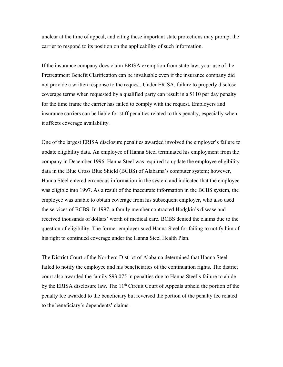unclear at the time of appeal, and citing these important state protections may prompt the carrier to respond to its position on the applicability of such information.

If the insurance company does claim ERISA exemption from state law, your use of the Pretreatment Benefit Clarification can be invaluable even if the insurance company did not provide a written response to the request. Under ERISA, failure to properly disclose coverage terms when requested by a qualified party can result in a \$110 per day penalty for the time frame the carrier has failed to comply with the request. Employers and insurance carriers can be liable for stiff penalties related to this penalty, especially when it affects coverage availability.

One of the largest ERISA disclosure penalties awarded involved the employer's failure to update eligibility data. An employee of Hanna Steel terminated his employment from the company in December 1996. Hanna Steel was required to update the employee eligibility data in the Blue Cross Blue Shield (BCBS) of Alabama's computer system; however, Hanna Steel entered erroneous information in the system and indicated that the employee was eligible into 1997. As a result of the inaccurate information in the BCBS system, the employee was unable to obtain coverage from his subsequent employer, who also used the services of BCBS. In 1997, a family member contracted Hodgkin's disease and received thousands of dollars' worth of medical care. BCBS denied the claims due to the question of eligibility. The former employer sued Hanna Steel for failing to notify him of his right to continued coverage under the Hanna Steel Health Plan.

The District Court of the Northern District of Alabama determined that Hanna Steel failed to notify the employee and his beneficiaries of the continuation rights. The district court also awarded the family \$93,075 in penalties due to Hanna Steel's failure to abide by the ERISA disclosure law. The  $11<sup>th</sup>$  Circuit Court of Appeals upheld the portion of the penalty fee awarded to the beneficiary but reversed the portion of the penalty fee related to the beneficiary's dependents' claims.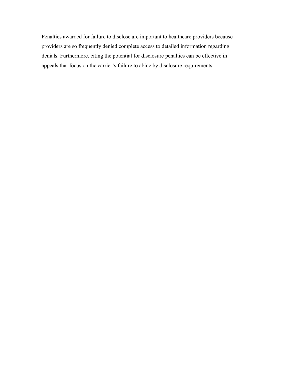Penalties awarded for failure to disclose are important to healthcare providers because providers are so frequently denied complete access to detailed information regarding denials. Furthermore, citing the potential for disclosure penalties can be effective in appeals that focus on the carrier's failure to abide by disclosure requirements.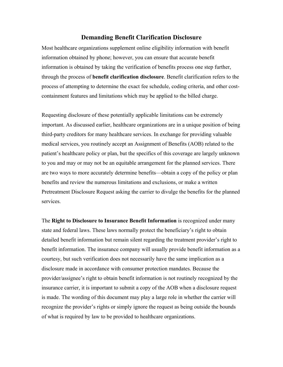# **Demanding Benefit Clarification Disclosure**

Most healthcare organizations supplement online eligibility information with benefit information obtained by phone; however, you can ensure that accurate benefit information is obtained by taking the verification of benefits process one step further, through the process of **benefit clarification disclosure**. Benefit clarification refers to the process of attempting to determine the exact fee schedule, coding criteria, and other costcontainment features and limitations which may be applied to the billed charge.

Requesting disclosure of these potentially applicable limitations can be extremely important. As discussed earlier, healthcare organizations are in a unique position of being third-party creditors for many healthcare services. In exchange for providing valuable medical services, you routinely accept an Assignment of Benefits (AOB) related to the patient's healthcare policy or plan, but the specifics of this coverage are largely unknown to you and may or may not be an equitable arrangement for the planned services. There are two ways to more accurately determine benefits—obtain a copy of the policy or plan benefits and review the numerous limitations and exclusions, or make a written Pretreatment Disclosure Request asking the carrier to divulge the benefits for the planned services.

The **Right to Disclosure to Insurance Benefit Information** is recognized under many state and federal laws. These laws normally protect the beneficiary's right to obtain detailed benefit information but remain silent regarding the treatment provider's right to benefit information. The insurance company will usually provide benefit information as a courtesy, but such verification does not necessarily have the same implication as a disclosure made in accordance with consumer protection mandates. Because the provider/assignee's right to obtain benefit information is not routinely recognized by the insurance carrier, it is important to submit a copy of the AOB when a disclosure request is made. The wording of this document may play a large role in whether the carrier will recognize the provider's rights or simply ignore the request as being outside the bounds of what is required by law to be provided to healthcare organizations.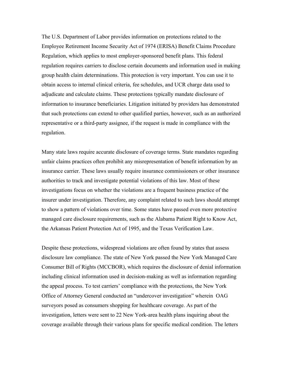The U.S. Department of Labor provides information on protections related to the Employee Retirement Income Security Act of 1974 (ERISA) Benefit Claims Procedure Regulation, which applies to most employer-sponsored benefit plans. This federal regulation requires carriers to disclose certain documents and information used in making group health claim determinations. This protection is very important. You can use it to obtain access to internal clinical criteria, fee schedules, and UCR charge data used to adjudicate and calculate claims. These protections typically mandate disclosure of information to insurance beneficiaries. Litigation initiated by providers has demonstrated that such protections can extend to other qualified parties, however, such as an authorized representative or a third-party assignee, if the request is made in compliance with the regulation.

Many state laws require accurate disclosure of coverage terms. State mandates regarding unfair claims practices often prohibit any misrepresentation of benefit information by an insurance carrier. These laws usually require insurance commissioners or other insurance authorities to track and investigate potential violations of this law. Most of these investigations focus on whether the violations are a frequent business practice of the insurer under investigation. Therefore, any complaint related to such laws should attempt to show a pattern of violations over time. Some states have passed even more protective managed care disclosure requirements, such as the Alabama Patient Right to Know Act, the Arkansas Patient Protection Act of 1995, and the Texas Verification Law.

Despite these protections, widespread violations are often found by states that assess disclosure law compliance. The state of New York passed the New York Managed Care Consumer Bill of Rights (MCCBOR), which requires the disclosure of denial information including clinical information used in decision-making as well as information regarding the appeal process. To test carriers' compliance with the protections, the New York Office of Attorney General conducted an "undercover investigation" wherein OAG surveyors posed as consumers shopping for healthcare coverage. As part of the investigation, letters were sent to 22 New York-area health plans inquiring about the coverage available through their various plans for specific medical condition. The letters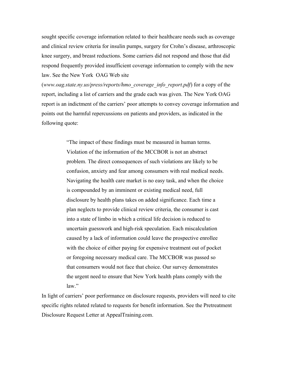sought specific coverage information related to their healthcare needs such as coverage and clinical review criteria for insulin pumps, surgery for Crohn's disease, arthroscopic knee surgery, and breast reductions. Some carriers did not respond and those that did respond frequently provided insufficient coverage information to comply with the new law. See the New York OAG Web site

(*www.oag.state.ny.us/press/reports/hmo\_coverage\_info\_report.pdf*) for a copy of the report, including a list of carriers and the grade each was given. The New York OAG report is an indictment of the carriers' poor attempts to convey coverage information and points out the harmful repercussions on patients and providers, as indicated in the following quote:

> "The impact of these findings must be measured in human terms. Violation of the information of the MCCBOR is not an abstract problem. The direct consequences of such violations are likely to be confusion, anxiety and fear among consumers with real medical needs. Navigating the health care market is no easy task, and when the choice is compounded by an imminent or existing medical need, full disclosure by health plans takes on added significance. Each time a plan neglects to provide clinical review criteria, the consumer is cast into a state of limbo in which a critical life decision is reduced to uncertain guesswork and high-risk speculation. Each miscalculation caused by a lack of information could leave the prospective enrollee with the choice of either paying for expensive treatment out of pocket or foregoing necessary medical care. The MCCBOR was passed so that consumers would not face that choice. Our survey demonstrates the urgent need to ensure that New York health plans comply with the law."

In light of carriers' poor performance on disclosure requests, providers will need to cite specific rights related related to requests for benefit information. See the Pretreatment Disclosure Request Letter at AppealTraining.com.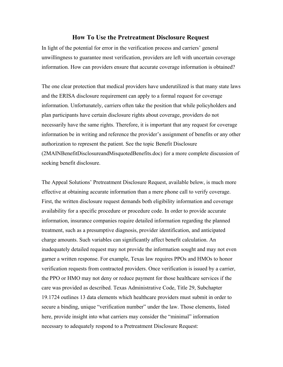# **How To Use the Pretreatment Disclosure Request**

In light of the potential for error in the verification process and carriers' general unwillingness to guarantee most verification, providers are left with uncertain coverage information. How can providers ensure that accurate coverage information is obtained?

The one clear protection that medical providers have underutilized is that many state laws and the ERISA disclosure requirement can apply to a formal request for coverage information. Unfortunately, carriers often take the position that while policyholders and plan participants have certain disclosure rights about coverage, providers do not necessarily have the same rights. Therefore, it is important that any request for coverage information be in writing and reference the provider's assignment of benefits or any other authorization to represent the patient. See the topic Benefit Disclosure (2MAINBenefitDisclosureandMisquotedBenefits.doc) for a more complete discussion of seeking benefit disclosure.

The Appeal Solutions' Pretreatment Disclosure Request, available below, is much more effective at obtaining accurate information than a mere phone call to verify coverage. First, the written disclosure request demands both eligibility information and coverage availability for a specific procedure or procedure code. In order to provide accurate information, insurance companies require detailed information regarding the planned treatment, such as a presumptive diagnosis, provider identification, and anticipated charge amounts. Such variables can significantly affect benefit calculation. An inadequately detailed request may not provide the information sought and may not even garner a written response. For example, Texas law requires PPOs and HMOs to honor verification requests from contracted providers. Once verification is issued by a carrier, the PPO or HMO may not deny or reduce payment for those healthcare services if the care was provided as described. Texas Administrative Code, Title 29, Subchapter 19.1724 outlines 13 data elements which healthcare providers must submit in order to secure a binding, unique "verification number" under the law. Those elements, listed here, provide insight into what carriers may consider the "minimal" information necessary to adequately respond to a Pretreatment Disclosure Request: